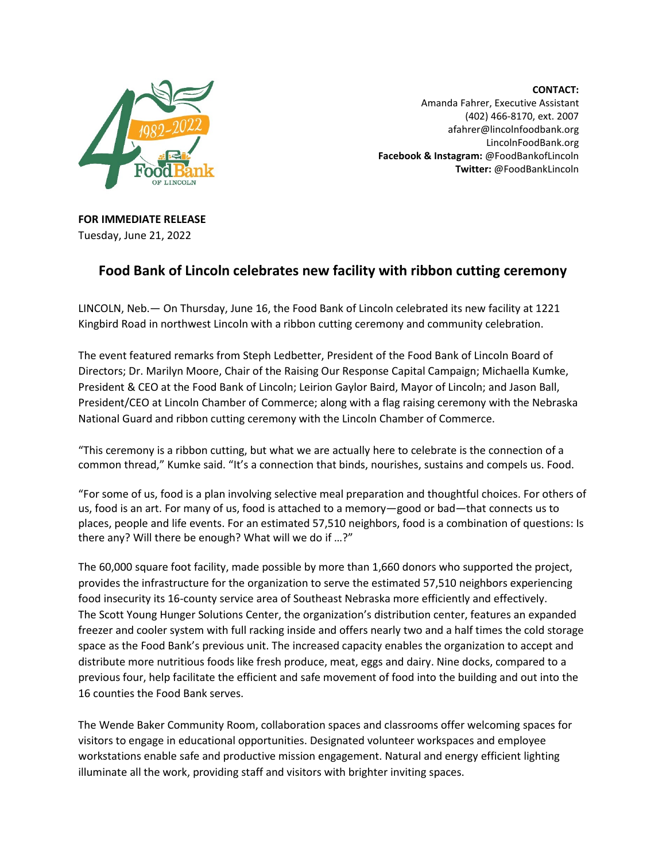

**CONTACT:** Amanda Fahrer, Executive Assistant (402) 466-8170, ext. 2007 afahrer@lincolnfoodbank.org LincolnFoodBank.org **Facebook & Instagram:** @FoodBankofLincoln **Twitter:** @FoodBankLincoln

**FOR IMMEDIATE RELEASE** Tuesday, June 21, 2022

## **Food Bank of Lincoln celebrates new facility with ribbon cutting ceremony**

LINCOLN, Neb.— On Thursday, June 16, the Food Bank of Lincoln celebrated its new facility at 1221 Kingbird Road in northwest Lincoln with a ribbon cutting ceremony and community celebration.

The event featured remarks from Steph Ledbetter, President of the Food Bank of Lincoln Board of Directors; Dr. Marilyn Moore, Chair of the Raising Our Response Capital Campaign; Michaella Kumke, President & CEO at the Food Bank of Lincoln; Leirion Gaylor Baird, Mayor of Lincoln; and Jason Ball, President/CEO at Lincoln Chamber of Commerce; along with a flag raising ceremony with the Nebraska National Guard and ribbon cutting ceremony with the Lincoln Chamber of Commerce.

"This ceremony is a ribbon cutting, but what we are actually here to celebrate is the connection of a common thread," Kumke said. "It's a connection that binds, nourishes, sustains and compels us. Food.

"For some of us, food is a plan involving selective meal preparation and thoughtful choices. For others of us, food is an art. For many of us, food is attached to a memory—good or bad—that connects us to places, people and life events. For an estimated 57,510 neighbors, food is a combination of questions: Is there any? Will there be enough? What will we do if …?"

The 60,000 square foot facility, made possible by more than 1,660 donors who supported the project, provides the infrastructure for the organization to serve the estimated 57,510 neighbors experiencing food insecurity its 16-county service area of Southeast Nebraska more efficiently and effectively. The Scott Young Hunger Solutions Center, the organization's distribution center, features an expanded freezer and cooler system with full racking inside and offers nearly two and a half times the cold storage space as the Food Bank's previous unit. The increased capacity enables the organization to accept and distribute more nutritious foods like fresh produce, meat, eggs and dairy. Nine docks, compared to a previous four, help facilitate the efficient and safe movement of food into the building and out into the 16 counties the Food Bank serves.

The Wende Baker Community Room, collaboration spaces and classrooms offer welcoming spaces for visitors to engage in educational opportunities. Designated volunteer workspaces and employee workstations enable safe and productive mission engagement. Natural and energy efficient lighting illuminate all the work, providing staff and visitors with brighter inviting spaces.